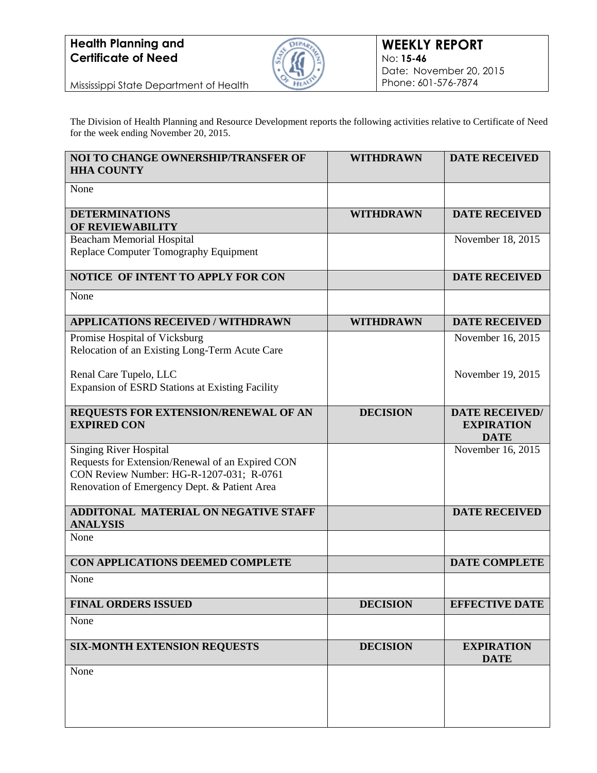

Mississippi State Department of Health

The Division of Health Planning and Resource Development reports the following activities relative to Certificate of Need for the week ending November 20, 2015.

| NOI TO CHANGE OWNERSHIP/TRANSFER OF<br><b>HHA COUNTY</b>                                     | <b>WITHDRAWN</b> | <b>DATE RECEIVED</b>             |
|----------------------------------------------------------------------------------------------|------------------|----------------------------------|
| None                                                                                         |                  |                                  |
| <b>DETERMINATIONS</b><br>OF REVIEWABILITY                                                    | <b>WITHDRAWN</b> | <b>DATE RECEIVED</b>             |
| <b>Beacham Memorial Hospital</b>                                                             |                  | November 18, 2015                |
| Replace Computer Tomography Equipment                                                        |                  |                                  |
| NOTICE OF INTENT TO APPLY FOR CON                                                            |                  | <b>DATE RECEIVED</b>             |
| None                                                                                         |                  |                                  |
| <b>APPLICATIONS RECEIVED / WITHDRAWN</b>                                                     | <b>WITHDRAWN</b> | <b>DATE RECEIVED</b>             |
| Promise Hospital of Vicksburg                                                                |                  | November 16, 2015                |
| Relocation of an Existing Long-Term Acute Care                                               |                  |                                  |
| Renal Care Tupelo, LLC                                                                       |                  | November 19, 2015                |
| <b>Expansion of ESRD Stations at Existing Facility</b>                                       |                  |                                  |
| REQUESTS FOR EXTENSION/RENEWAL OF AN                                                         | <b>DECISION</b>  | <b>DATE RECEIVED/</b>            |
| <b>EXPIRED CON</b>                                                                           |                  | <b>EXPIRATION</b><br><b>DATE</b> |
| <b>Singing River Hospital</b>                                                                |                  | November 16, 2015                |
| Requests for Extension/Renewal of an Expired CON<br>CON Review Number: HG-R-1207-031; R-0761 |                  |                                  |
| Renovation of Emergency Dept. & Patient Area                                                 |                  |                                  |
| <b>ADDITONAL MATERIAL ON NEGATIVE STAFF</b>                                                  |                  | <b>DATE RECEIVED</b>             |
| <b>ANALYSIS</b><br>None                                                                      |                  |                                  |
|                                                                                              |                  |                                  |
| CON APPLICATIONS DEEMED COMPLETE                                                             |                  | <b>DATE COMPLETE</b>             |
| None                                                                                         |                  |                                  |
| <b>FINAL ORDERS ISSUED</b>                                                                   | <b>DECISION</b>  | <b>EFFECTIVE DATE</b>            |
| None                                                                                         |                  |                                  |
| <b>SIX-MONTH EXTENSION REQUESTS</b>                                                          | <b>DECISION</b>  | <b>EXPIRATION</b><br><b>DATE</b> |
| None                                                                                         |                  |                                  |
|                                                                                              |                  |                                  |
|                                                                                              |                  |                                  |
|                                                                                              |                  |                                  |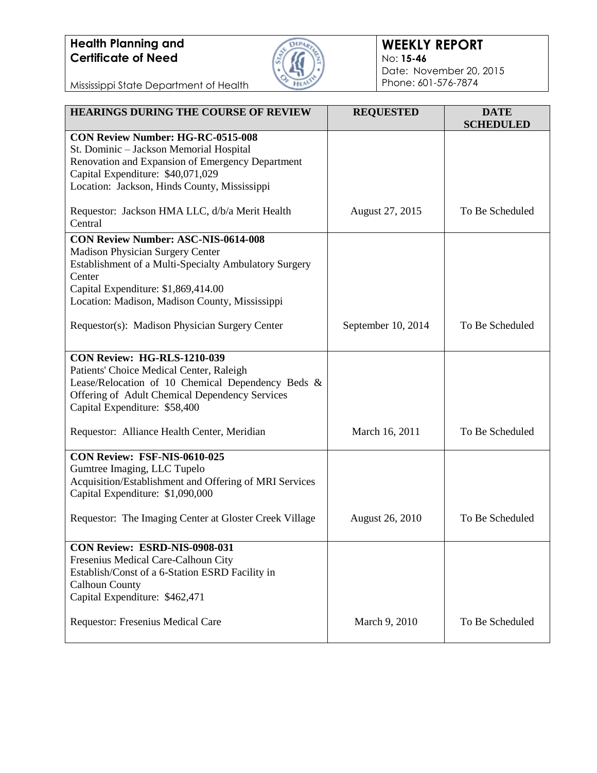

### **WEEKLY REPORT** No: **15-46** Date: November 20, 2015 Phone: 601-576-7874

Mississippi State Department of Health

| <b>HEARINGS DURING THE COURSE OF REVIEW</b>                                                         | <b>REQUESTED</b>       | <b>DATE</b><br><b>SCHEDULED</b> |
|-----------------------------------------------------------------------------------------------------|------------------------|---------------------------------|
| <b>CON Review Number: HG-RC-0515-008</b>                                                            |                        |                                 |
| St. Dominic - Jackson Memorial Hospital<br>Renovation and Expansion of Emergency Department         |                        |                                 |
| Capital Expenditure: \$40,071,029                                                                   |                        |                                 |
| Location: Jackson, Hinds County, Mississippi                                                        |                        |                                 |
| Requestor: Jackson HMA LLC, d/b/a Merit Health                                                      | August 27, 2015        | To Be Scheduled                 |
| Central                                                                                             |                        |                                 |
| <b>CON Review Number: ASC-NIS-0614-008</b>                                                          |                        |                                 |
| <b>Madison Physician Surgery Center</b>                                                             |                        |                                 |
| Establishment of a Multi-Specialty Ambulatory Surgery<br>Center                                     |                        |                                 |
| Capital Expenditure: \$1,869,414.00                                                                 |                        |                                 |
| Location: Madison, Madison County, Mississippi                                                      |                        |                                 |
| Requestor(s): Madison Physician Surgery Center                                                      | September 10, 2014     | To Be Scheduled                 |
|                                                                                                     |                        |                                 |
| <b>CON Review: HG-RLS-1210-039</b>                                                                  |                        |                                 |
| Patients' Choice Medical Center, Raleigh                                                            |                        |                                 |
| Lease/Relocation of 10 Chemical Dependency Beds &<br>Offering of Adult Chemical Dependency Services |                        |                                 |
| Capital Expenditure: \$58,400                                                                       |                        |                                 |
|                                                                                                     |                        |                                 |
| Requestor: Alliance Health Center, Meridian                                                         | March 16, 2011         | To Be Scheduled                 |
| CON Review: FSF-NIS-0610-025                                                                        |                        |                                 |
| Gumtree Imaging, LLC Tupelo                                                                         |                        |                                 |
| Acquisition/Establishment and Offering of MRI Services<br>Capital Expenditure: \$1,090,000          |                        |                                 |
|                                                                                                     |                        |                                 |
| Requestor: The Imaging Center at Gloster Creek Village                                              | <b>August 26, 2010</b> | To Be Scheduled                 |
| CON Review: ESRD-NIS-0908-031                                                                       |                        |                                 |
| Fresenius Medical Care-Calhoun City                                                                 |                        |                                 |
| Establish/Const of a 6-Station ESRD Facility in                                                     |                        |                                 |
| <b>Calhoun County</b>                                                                               |                        |                                 |
| Capital Expenditure: \$462,471                                                                      |                        |                                 |
| Requestor: Fresenius Medical Care                                                                   | March 9, 2010          | To Be Scheduled                 |
|                                                                                                     |                        |                                 |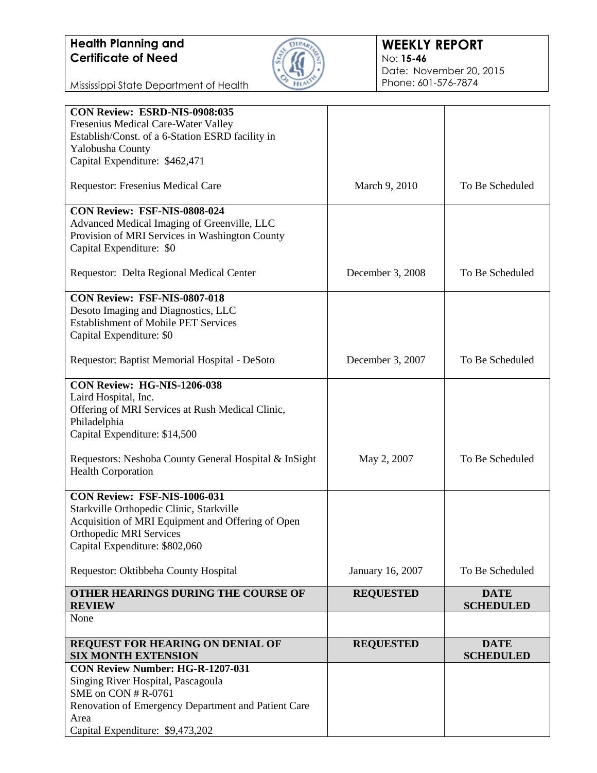

### **WEEKLY REPORT** No: **15-46** Date: November 20, 2015 Phone: 601-576-7874

Mississippi State Department of Health

| CON Review: ESRD-NIS-0908:035                             |                  |                                 |
|-----------------------------------------------------------|------------------|---------------------------------|
| Fresenius Medical Care-Water Valley                       |                  |                                 |
| Establish/Const. of a 6-Station ESRD facility in          |                  |                                 |
| Yalobusha County                                          |                  |                                 |
| Capital Expenditure: \$462,471                            |                  |                                 |
| Requestor: Fresenius Medical Care                         | March 9, 2010    | To Be Scheduled                 |
| CON Review: FSF-NIS-0808-024                              |                  |                                 |
| Advanced Medical Imaging of Greenville, LLC               |                  |                                 |
| Provision of MRI Services in Washington County            |                  |                                 |
| Capital Expenditure: \$0                                  |                  |                                 |
| Requestor: Delta Regional Medical Center                  | December 3, 2008 | To Be Scheduled                 |
| <b>CON Review: FSF-NIS-0807-018</b>                       |                  |                                 |
| Desoto Imaging and Diagnostics, LLC                       |                  |                                 |
| <b>Establishment of Mobile PET Services</b>               |                  |                                 |
| Capital Expenditure: \$0                                  |                  |                                 |
| Requestor: Baptist Memorial Hospital - DeSoto             | December 3, 2007 | To Be Scheduled                 |
| CON Review: HG-NIS-1206-038                               |                  |                                 |
| Laird Hospital, Inc.                                      |                  |                                 |
| Offering of MRI Services at Rush Medical Clinic,          |                  |                                 |
| Philadelphia                                              |                  |                                 |
| Capital Expenditure: \$14,500                             |                  |                                 |
| Requestors: Neshoba County General Hospital & InSight     | May 2, 2007      | To Be Scheduled                 |
| <b>Health Corporation</b>                                 |                  |                                 |
| CON Review: FSF-NIS-1006-031                              |                  |                                 |
| Starkville Orthopedic Clinic, Starkville                  |                  |                                 |
| Acquisition of MRI Equipment and Offering of Open         |                  |                                 |
| <b>Orthopedic MRI Services</b>                            |                  |                                 |
| Capital Expenditure: \$802,060                            |                  |                                 |
| Requestor: Oktibbeha County Hospital                      | January 16, 2007 | To Be Scheduled                 |
| OTHER HEARINGS DURING THE COURSE OF<br><b>REVIEW</b>      | <b>REQUESTED</b> | <b>DATE</b><br><b>SCHEDULED</b> |
| None                                                      |                  |                                 |
| REQUEST FOR HEARING ON DENIAL OF                          |                  | <b>DATE</b>                     |
| <b>SIX MONTH EXTENSION</b>                                | <b>REQUESTED</b> | <b>SCHEDULED</b>                |
| CON Review Number: HG-R-1207-031                          |                  |                                 |
| Singing River Hospital, Pascagoula<br>SME on CON # R-0761 |                  |                                 |
| Renovation of Emergency Department and Patient Care       |                  |                                 |
| Area                                                      |                  |                                 |
| Capital Expenditure: \$9,473,202                          |                  |                                 |
|                                                           |                  |                                 |